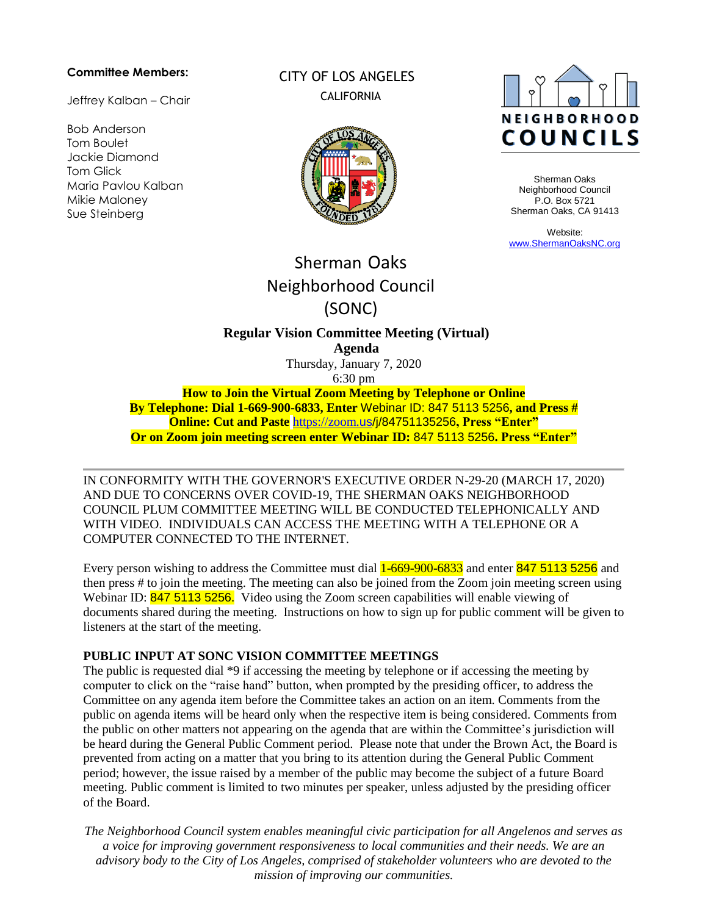#### **Committee Members:**

Jeffrey Kalban – Chair

Bob Anderson Tom Boulet Jackie Diamond Tom Glick Maria Pavlou Kalban Mikie Maloney Sue Steinberg

## CITY OF LOS ANGELES CALIFORNIA





Sherman Oaks Neighborhood Council P.O. Box 5721 Sherman Oaks, CA 91413

Website: [www.ShermanOaksNC.org](http://www.shermanoaksnc.org/)

# Sherman Oaks Neighborhood Council (SONC)

**Regular Vision Committee Meeting (Virtual) Agenda** 

Thursday, January 7, 2020 6:30 pm

**How to Join the Virtual Zoom Meeting by Telephone or Online By Telephone: Dial 1-669-900-6833, Enter** Webinar ID: 847 5113 5256**, and Press # Online: Cut and Paste** https://zoom.[us/j/84751135256](https://zoom.us/j/98855253374)**, Press "Enter" Or on Zoom join meeting screen enter Webinar ID:** 847 5113 5256**. Press "Enter"**

IN CONFORMITY WITH THE GOVERNOR'S EXECUTIVE ORDER N-29-20 (MARCH 17, 2020) AND DUE TO CONCERNS OVER COVID-19, THE SHERMAN OAKS NEIGHBORHOOD COUNCIL PLUM COMMITTEE MEETING WILL BE CONDUCTED TELEPHONICALLY AND WITH VIDEO. INDIVIDUALS CAN ACCESS THE MEETING WITH A TELEPHONE OR A COMPUTER CONNECTED TO THE INTERNET.

Every person wishing to address the Committee must dial  $1-669-900-6833$  and enter 847 5113 5256 and then press # to join the meeting. The meeting can also be joined from the Zoom join meeting screen using Webinar ID: 847 5113 5256. Video using the Zoom screen capabilities will enable viewing of documents shared during the meeting. Instructions on how to sign up for public comment will be given to listeners at the start of the meeting.

#### **PUBLIC INPUT AT SONC VISION COMMITTEE MEETINGS**

The public is requested dial \*9 if accessing the meeting by telephone or if accessing the meeting by computer to click on the "raise hand" button, when prompted by the presiding officer, to address the Committee on any agenda item before the Committee takes an action on an item. Comments from the public on agenda items will be heard only when the respective item is being considered. Comments from the public on other matters not appearing on the agenda that are within the Committee's jurisdiction will be heard during the General Public Comment period. Please note that under the Brown Act, the Board is prevented from acting on a matter that you bring to its attention during the General Public Comment period; however, the issue raised by a member of the public may become the subject of a future Board meeting. Public comment is limited to two minutes per speaker, unless adjusted by the presiding officer of the Board.

*The Neighborhood Council system enables meaningful civic participation for all Angelenos and serves as a voice for improving government responsiveness to local communities and their needs. We are an advisory body to the City of Los Angeles, comprised of stakeholder volunteers who are devoted to the mission of improving our communities.*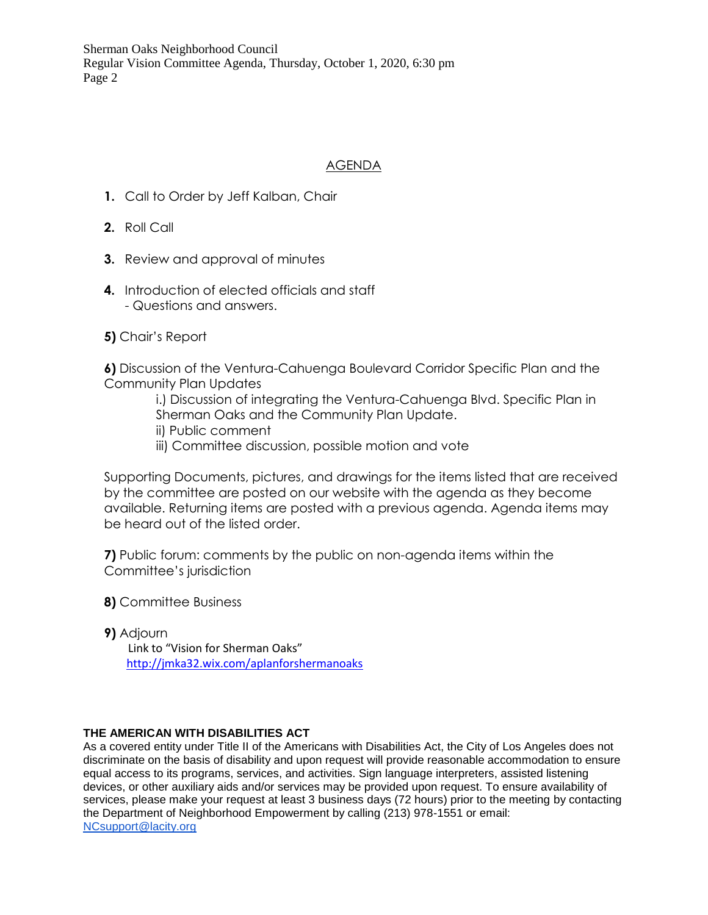Sherman Oaks Neighborhood Council Regular Vision Committee Agenda, Thursday, October 1, 2020, 6:30 pm Page 2

### AGENDA

- **1.** Call to Order by Jeff Kalban, Chair
- **2.** Roll Call
- **3.** Review and approval of minutes
- **4.** Introduction of elected officials and staff - Questions and answers.
- **5)** Chair's Report

**6)** Discussion of the Ventura-Cahuenga Boulevard Corridor Specific Plan and the Community Plan Updates

> i.) Discussion of integrating the Ventura-Cahuenga Blvd. Specific Plan in Sherman Oaks and the Community Plan Update.

- ii) Public comment
- iii) Committee discussion, possible motion and vote

Supporting Documents, pictures, and drawings for the items listed that are received by the committee are posted on our website with the agenda as they become available. Returning items are posted with a previous agenda. Agenda items may be heard out of the listed order.

**7)** Public forum: comments by the public on non-agenda items within the Committee's jurisdiction

- **8)** Committee Business
- **9)** Adjourn Link to "Vision for Sherman Oaks" <http://jmka32.wix.com/aplanforshermanoaks>

#### **THE AMERICAN WITH DISABILITIES ACT**

As a covered entity under Title II of the Americans with Disabilities Act, the City of Los Angeles does not discriminate on the basis of disability and upon request will provide reasonable accommodation to ensure equal access to its programs, services, and activities. Sign language interpreters, assisted listening devices, or other auxiliary aids and/or services may be provided upon request. To ensure availability of services, please make your request at least 3 business days (72 hours) prior to the meeting by contacting the Department of Neighborhood Empowerment by calling (213) 978-1551 or email: [NCsupport@lacity.org](mailto:NCsupport@lacity.org)